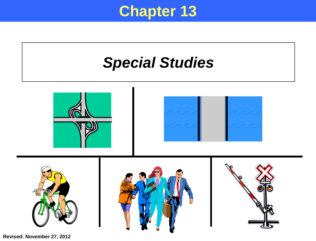#### **Chapter 13**



**Revised: November 27, 2012**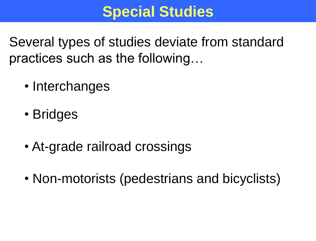## **Special Studies**

Several types of studies deviate from standard practices such as the following…

- Interchanges
- Bridges
- At-grade railroad crossings
- Non-motorists (pedestrians and bicyclists)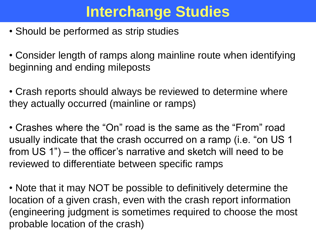# **Interchange Studies**

• Should be performed as strip studies

• Consider length of ramps along mainline route when identifying beginning and ending mileposts

• Crash reports should always be reviewed to determine where they actually occurred (mainline or ramps)

• Crashes where the "On" road is the same as the "From" road usually indicate that the crash occurred on a ramp (i.e. "on US 1 from US 1") – the officer's narrative and sketch will need to be reviewed to differentiate between specific ramps

• Note that it may NOT be possible to definitively determine the location of a given crash, even with the crash report information (engineering judgment is sometimes required to choose the most probable location of the crash)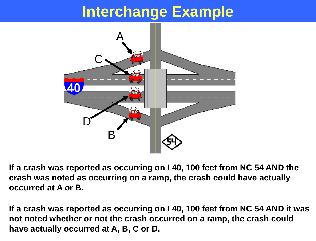### **Interchange Example**



**If a crash was reported as occurring on I 40, 100 feet from NC 54 AND the crash was noted as occurring on a ramp, the crash could have actually occurred at A or B.**

**If a crash was reported as occurring on I 40, 100 feet from NC 54 AND it was not noted whether or not the crash occurred on a ramp, the crash could have actually occurred at A, B, C or D.**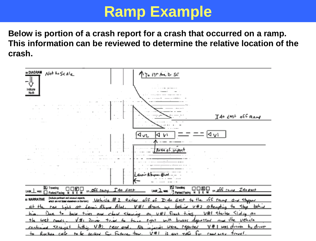#### **Ramp Example**

**Below is portion of a crash report for a crash that occurred on a ramp. This information can be reviewed to determine the relative location of the crash.**

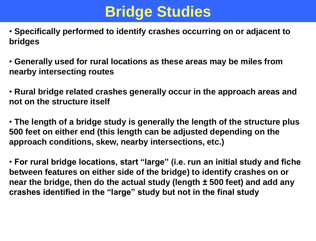# **Bridge Studies**

• **Specifically performed to identify crashes occurring on or adjacent to bridges**

• **Generally used for rural locations as these areas may be miles from nearby intersecting routes**

• **Rural bridge related crashes generally occur in the approach areas and not on the structure itself**

• **The length of a bridge study is generally the length of the structure plus 500 feet on either end (this length can be adjusted depending on the approach conditions, skew, nearby intersections, etc.)**

• **For rural bridge locations, start "large" (i.e. run an initial study and fiche between features on either side of the bridge) to identify crashes on or near the bridge, then do the actual study (length ± 500 feet) and add any crashes identified in the "large" study but not in the final study**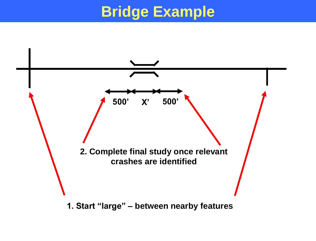## **Bridge Example**



**1. Start "large" – between nearby features**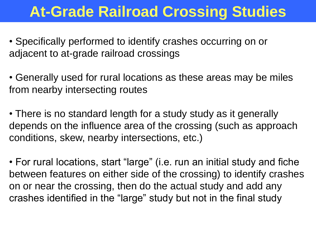## **At-Grade Railroad Crossing Studies**

• Specifically performed to identify crashes occurring on or adjacent to at-grade railroad crossings

• Generally used for rural locations as these areas may be miles from nearby intersecting routes

• There is no standard length for a study study as it generally depends on the influence area of the crossing (such as approach conditions, skew, nearby intersections, etc.)

• For rural locations, start "large" (i.e. run an initial study and fiche between features on either side of the crossing) to identify crashes on or near the crossing, then do the actual study and add any crashes identified in the "large" study but not in the final study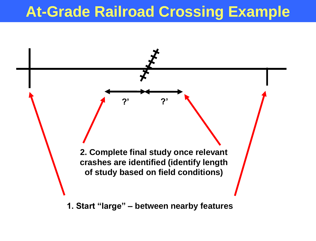## **At-Grade Railroad Crossing Example**



**1. Start "large" – between nearby features**